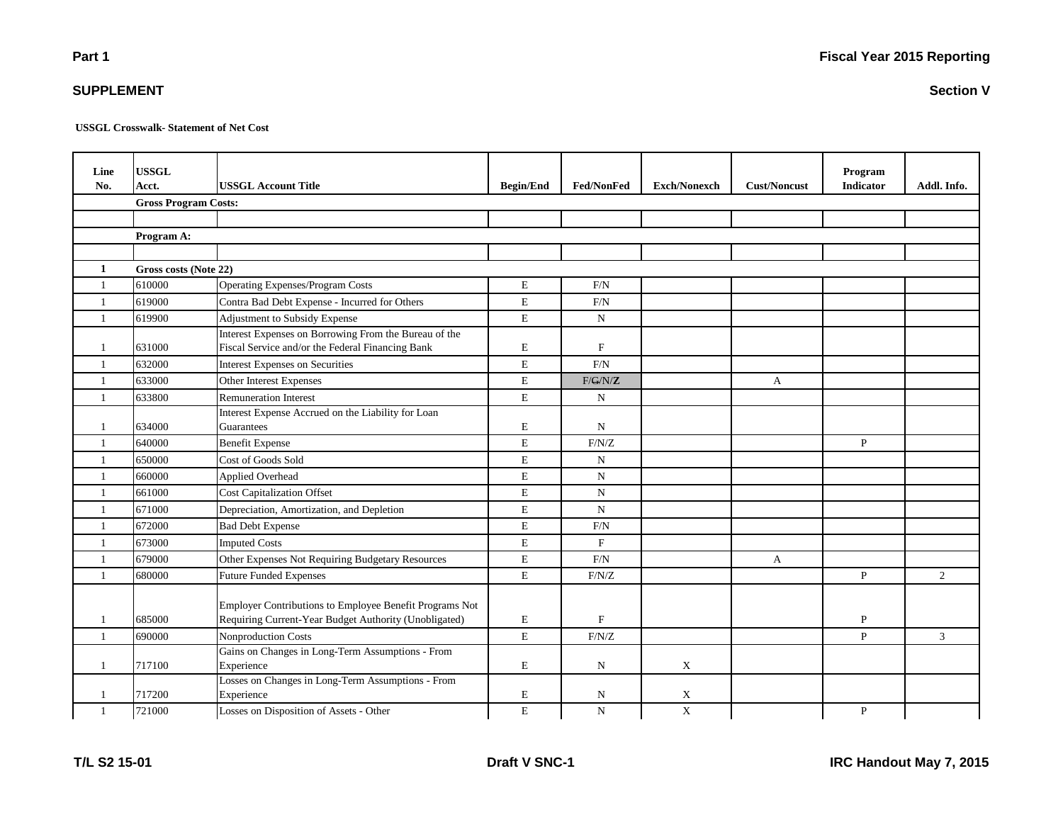**Fiscal Year 2015 Reporting**

**USSGL Crosswalk- Statement of Net Cost**

| Line<br>No.    | <b>USSGL</b><br>Acct.       | <b>USSGL Account Title</b>                                                                                       | <b>Begin/End</b> | <b>Fed/NonFed</b> | <b>Exch/Nonexch</b>       | <b>Cust/Noncust</b> | Program<br><b>Indicator</b> | Addl. Info.    |
|----------------|-----------------------------|------------------------------------------------------------------------------------------------------------------|------------------|-------------------|---------------------------|---------------------|-----------------------------|----------------|
|                | <b>Gross Program Costs:</b> |                                                                                                                  |                  |                   |                           |                     |                             |                |
|                |                             |                                                                                                                  |                  |                   |                           |                     |                             |                |
|                | Program A:                  |                                                                                                                  |                  |                   |                           |                     |                             |                |
|                |                             |                                                                                                                  |                  |                   |                           |                     |                             |                |
| 1              | Gross costs (Note 22)       |                                                                                                                  |                  |                   |                           |                     |                             |                |
| $\overline{1}$ | 610000                      | Operating Expenses/Program Costs                                                                                 | $\mathbf E$      | F/N               |                           |                     |                             |                |
| $\overline{1}$ | 619000                      | Contra Bad Debt Expense - Incurred for Others                                                                    | $\mathbf E$      | F/N               |                           |                     |                             |                |
| $\overline{1}$ | 619900                      | Adjustment to Subsidy Expense                                                                                    | $\mathbf E$      | $\mathbf N$       |                           |                     |                             |                |
|                |                             | Interest Expenses on Borrowing From the Bureau of the                                                            |                  |                   |                           |                     |                             |                |
| -1             | 631000                      | Fiscal Service and/or the Federal Financing Bank                                                                 | $\mathbf E$      | F                 |                           |                     |                             |                |
| $\mathbf{1}$   | 632000                      | <b>Interest Expenses on Securities</b>                                                                           | $\mathbf E$      | F/N               |                           |                     |                             |                |
| $\overline{1}$ | 633000                      | Other Interest Expenses                                                                                          | $\mathbf E$      | F/G/N/Z           |                           | $\mathbf{A}$        |                             |                |
| $\mathbf{1}$   | 633800                      | <b>Remuneration Interest</b>                                                                                     | $\mathbf E$      | ${\bf N}$         |                           |                     |                             |                |
|                |                             | Interest Expense Accrued on the Liability for Loan                                                               |                  |                   |                           |                     |                             |                |
| $\overline{1}$ | 634000                      | Guarantees                                                                                                       | $\mathbf E$      | $\mathbf N$       |                           |                     |                             |                |
| -1             | 640000                      | <b>Benefit Expense</b>                                                                                           | $\mathbf E$      | F/N/Z             |                           |                     | $\mathbf{P}$                |                |
| $\overline{1}$ | 650000                      | Cost of Goods Sold                                                                                               | $\mathbf E$      | $\mathbf N$       |                           |                     |                             |                |
| $\overline{1}$ | 660000                      | <b>Applied Overhead</b>                                                                                          | $\mathbf E$      | $\mathbf N$       |                           |                     |                             |                |
| $\overline{1}$ | 661000                      | <b>Cost Capitalization Offset</b>                                                                                | $\mathbf E$      | $\mathbf N$       |                           |                     |                             |                |
| $\overline{1}$ | 671000                      | Depreciation, Amortization, and Depletion                                                                        | $\mathbf E$      | $\mathbf N$       |                           |                     |                             |                |
| $\overline{1}$ | 672000                      | <b>Bad Debt Expense</b>                                                                                          | $\mathbf E$      | $\mbox{F/N}$      |                           |                     |                             |                |
| $\overline{1}$ | 673000                      | <b>Imputed Costs</b>                                                                                             | $\mathbf E$      | $\mathbf F$       |                           |                     |                             |                |
| $\mathbf{1}$   | 679000                      | Other Expenses Not Requiring Budgetary Resources                                                                 | $\mathbf E$      | $\mbox{F/N}$      |                           | A                   |                             |                |
| $\overline{1}$ | 680000                      | <b>Future Funded Expenses</b>                                                                                    | $\mathbf E$      | F/N/Z             |                           |                     | P                           | $\overline{2}$ |
| $\mathbf{1}$   | 685000                      | Employer Contributions to Employee Benefit Programs Not<br>Requiring Current-Year Budget Authority (Unobligated) | E                | $\mathbf{F}$      |                           |                     | P                           |                |
| $\mathbf{1}$   | 690000                      | Nonproduction Costs                                                                                              | $\mathbf E$      | $\rm F/N/Z$       |                           |                     | $\mathbf{P}$                | 3              |
|                |                             | Gains on Changes in Long-Term Assumptions - From                                                                 |                  |                   |                           |                     |                             |                |
| $\overline{1}$ | 717100                      | Experience                                                                                                       | E                | N                 | $\boldsymbol{\mathrm{X}}$ |                     |                             |                |
|                |                             | Losses on Changes in Long-Term Assumptions - From                                                                |                  |                   |                           |                     |                             |                |
| $\mathbf{1}$   | 717200                      | Experience                                                                                                       | $\mathbf E$      | N                 | $\boldsymbol{\mathrm{X}}$ |                     |                             |                |
| $\overline{1}$ | 721000                      | Losses on Disposition of Assets - Other                                                                          | $\mathbf E$      | $\mathbf N$       | $\mathbf X$               |                     | $\, {\bf P}$                |                |

**SUPPLEMENT**

**Section V**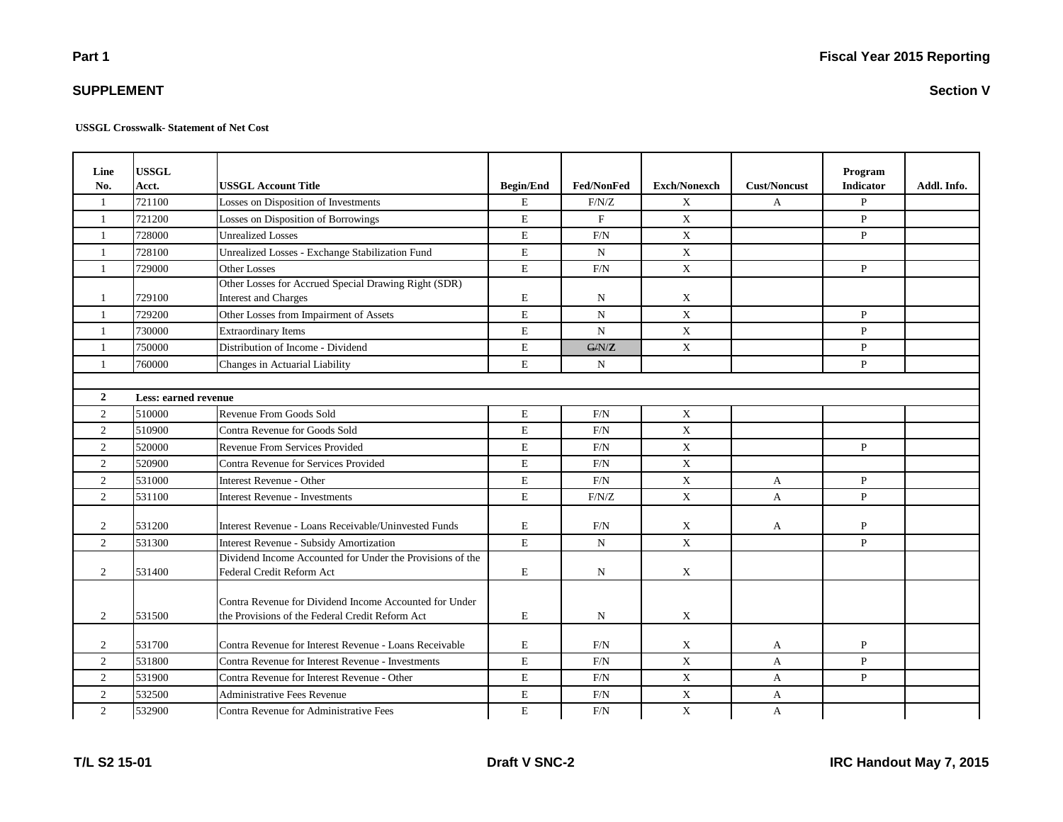## **SUPPLEMENT**

**USSGL Crosswalk- Statement of Net Cost**

| Line           | <b>USSGL</b>         |                                                           |                  |                |                     |                     | Program          |             |
|----------------|----------------------|-----------------------------------------------------------|------------------|----------------|---------------------|---------------------|------------------|-------------|
| No.            | Acct.                | <b>USSGL Account Title</b>                                | <b>Begin/End</b> | Fed/NonFed     | <b>Exch/Nonexch</b> | <b>Cust/Noncust</b> | <b>Indicator</b> | Addl. Info. |
| 1              | 721100               | Losses on Disposition of Investments                      | Е                | F/N/Z          | X                   | A                   | $\mathbf{P}$     |             |
| $\mathbf{1}$   | 721200               | Losses on Disposition of Borrowings                       | E                | $\mathbf{F}$   | $\mathbf X$         |                     | $\mathbf{P}$     |             |
| $\mathbf{1}$   | 728000               | <b>Unrealized Losses</b>                                  | E                | F/N            | $\mathbf X$         |                     | $\mathbf{P}$     |             |
| $\mathbf{1}$   | 728100               | Unrealized Losses - Exchange Stabilization Fund           | E                | $\mathbf N$    | X                   |                     |                  |             |
| $\mathbf{1}$   | 729000               | <b>Other Losses</b>                                       | $\mathbf E$      | F/N            | X                   |                     | P                |             |
|                |                      | Other Losses for Accrued Special Drawing Right (SDR)      |                  |                |                     |                     |                  |             |
| 1              | 729100               | <b>Interest and Charges</b>                               | E                | N              | X                   |                     |                  |             |
| 1              | 729200               | Other Losses from Impairment of Assets                    | E                | $\overline{N}$ | X                   |                     | $\mathbf{P}$     |             |
| $\mathbf{1}$   | 730000               | <b>Extraordinary Items</b>                                | E                | N              | X                   |                     | $\mathbf{P}$     |             |
| 1              | 750000               | Distribution of Income - Dividend                         | E                | G/N/Z          | X                   |                     | $\mathbf{P}$     |             |
| 1              | 760000               | Changes in Actuarial Liability                            | E                | $\mathbf N$    |                     |                     | $\mathbf{P}$     |             |
|                |                      |                                                           |                  |                |                     |                     |                  |             |
| $\overline{2}$ | Less: earned revenue |                                                           |                  |                |                     |                     |                  |             |
| $\overline{c}$ | 510000               | Revenue From Goods Sold                                   | E                | F/N            | $\mathbf X$         |                     |                  |             |
| 2              | 510900               | Contra Revenue for Goods Sold                             | E                | F/N            | X                   |                     |                  |             |
| $\overline{2}$ | 520000               | Revenue From Services Provided                            | E                | F/N            | $\mathbf X$         |                     | $\mathbf{P}$     |             |
| 2              | 520900               | Contra Revenue for Services Provided                      | E                | F/N            | $\mathbf X$         |                     |                  |             |
| $\overline{2}$ | 531000               | <b>Interest Revenue - Other</b>                           | E                | F/N            | $\mathbf X$         | A                   | $\mathbf{P}$     |             |
| 2              | 531100               | <b>Interest Revenue - Investments</b>                     | E                | F/N/Z          | $\mathbf X$         | A                   | $\, {\bf P}$     |             |
|                |                      |                                                           |                  |                |                     |                     |                  |             |
| $\overline{2}$ | 531200               | Interest Revenue - Loans Receivable/Uninvested Funds      | E                | F/N            | X                   | A                   | P                |             |
| $\overline{2}$ | 531300               | Interest Revenue - Subsidy Amortization                   | E                | $\mathbf N$    | X                   |                     | $\mathbf{P}$     |             |
|                |                      | Dividend Income Accounted for Under the Provisions of the |                  |                |                     |                     |                  |             |
| 2              | 531400               | Federal Credit Reform Act                                 | E                | N              | $\mathbf X$         |                     |                  |             |
|                |                      |                                                           |                  |                |                     |                     |                  |             |
| $\overline{2}$ | 531500               | Contra Revenue for Dividend Income Accounted for Under    | ${\bf E}$        | $\mathbf N$    |                     |                     |                  |             |
|                |                      | the Provisions of the Federal Credit Reform Act           |                  |                | X                   |                     |                  |             |
| 2              | 531700               | Contra Revenue for Interest Revenue - Loans Receivable    | E                | F/N            | X                   | A                   | $\, {\bf P}$     |             |
| 2              | 531800               | Contra Revenue for Interest Revenue - Investments         | E                | F/N            | $\mathbf X$         | A                   | $\mathbf{P}$     |             |
| $\overline{2}$ | 531900               | Contra Revenue for Interest Revenue - Other               | $\mathbf E$      | F/N            | $\mathbf X$         | $\mathbf{A}$        | $\mathbf{P}$     |             |
| 2              | 532500               | <b>Administrative Fees Revenue</b>                        | ${\bf E}$        | F/N            | $\mathbf X$         | A                   |                  |             |
| $\overline{2}$ | 532900               | Contra Revenue for Administrative Fees                    | E                | F/N            | $\mathbf X$         | A                   |                  |             |

**Section V**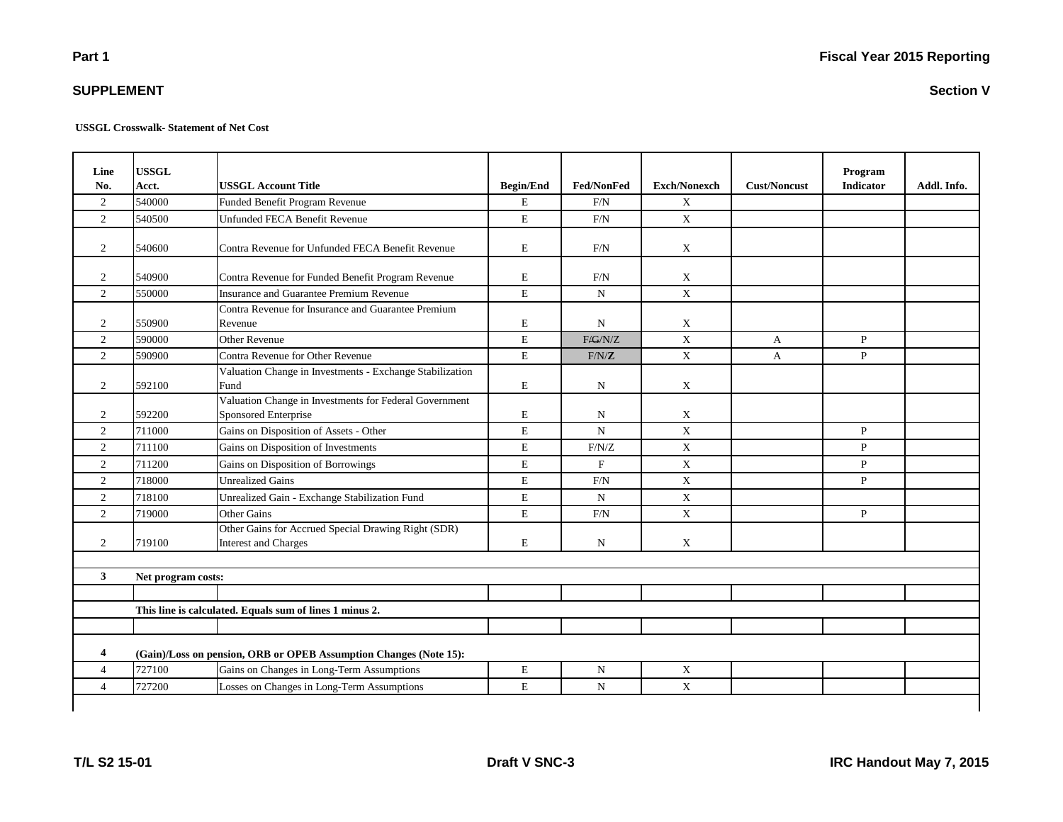## **SUPPLEMENT**

**USSGL Crosswalk- Statement of Net Cost**

| Line<br>No.    | <b>USSGL</b><br>Acct. | <b>USSGL Account Title</b>                                                         | <b>Begin/End</b> | <b>Fed/NonFed</b> | <b>Exch/Nonexch</b> | <b>Cust/Noncust</b> | Program<br><b>Indicator</b> | Addl. Info. |
|----------------|-----------------------|------------------------------------------------------------------------------------|------------------|-------------------|---------------------|---------------------|-----------------------------|-------------|
| 2              | 540000                | Funded Benefit Program Revenue                                                     | $\mathbf E$      | F/N               | $\mathbf X$         |                     |                             |             |
| $\overline{2}$ | 540500                | Unfunded FECA Benefit Revenue                                                      | E                | F/N               | $\mathbf{X}$        |                     |                             |             |
| 2              | 540600                | Contra Revenue for Unfunded FECA Benefit Revenue                                   | $\mathbf E$      | F/N               | X                   |                     |                             |             |
| 2              | 540900                | Contra Revenue for Funded Benefit Program Revenue                                  | $\mathbf E$      | F/N               | X                   |                     |                             |             |
| $\overline{2}$ | 550000                | Insurance and Guarantee Premium Revenue                                            | $\mathbf E$      | $\mathbf N$       | X                   |                     |                             |             |
| 2              | 550900                | Contra Revenue for Insurance and Guarantee Premium<br>Revenue                      | $\mathbf E$      | $\mathbf N$       | X                   |                     |                             |             |
| $\overline{2}$ | 590000                | <b>Other Revenue</b>                                                               | $\mathbf E$      | F/G/N/Z           | X                   | A                   | $\mathbf{P}$                |             |
| $\overline{2}$ | 590900                | Contra Revenue for Other Revenue                                                   | $\mathbf E$      | F/N/Z             | $\mathbf X$         | A                   | $\mathbf{P}$                |             |
| 2              | 592100                | Valuation Change in Investments - Exchange Stabilization<br>Fund                   | $\mathbf E$      | N                 | $\mathbf X$         |                     |                             |             |
| 2              | 592200                | Valuation Change in Investments for Federal Government<br>Sponsored Enterprise     | E                | N                 | X                   |                     |                             |             |
| 2              | 711000                | Gains on Disposition of Assets - Other                                             | $\mathbf E$      | ${\bf N}$         | $\mathbf X$         |                     | $\mathbf{P}$                |             |
| $\overline{2}$ | 711100                | Gains on Disposition of Investments                                                | $\mathbf E$      | F/N/Z             | X                   |                     | $\mathbf{P}$                |             |
| 2              | 711200                | Gains on Disposition of Borrowings                                                 | $\mathbf E$      | $\mathbf F$       | X                   |                     | $\mathbf{P}$                |             |
| $\overline{c}$ | 718000                | <b>Unrealized Gains</b>                                                            | $\mathbf E$      | F/N               | X                   |                     | $\mathbf{P}$                |             |
| 2              | 718100                | Unrealized Gain - Exchange Stabilization Fund                                      | $\mathbf E$      | $\mathbf N$       | X                   |                     |                             |             |
| $\overline{2}$ | 719000                | Other Gains                                                                        | $\mathbf E$      | $\rm F/N$         | $\mathbf X$         |                     | $\mathbf{P}$                |             |
| $\overline{c}$ | 719100                | Other Gains for Accrued Special Drawing Right (SDR)<br><b>Interest and Charges</b> | $\mathbf E$      | N                 | X                   |                     |                             |             |
| $\mathbf{3}$   | Net program costs:    |                                                                                    |                  |                   |                     |                     |                             |             |
|                |                       |                                                                                    |                  |                   |                     |                     |                             |             |
|                |                       | This line is calculated. Equals sum of lines 1 minus 2.                            |                  |                   |                     |                     |                             |             |
|                |                       |                                                                                    |                  |                   |                     |                     |                             |             |
| 4              |                       | (Gain)/Loss on pension, ORB or OPEB Assumption Changes (Note 15):                  |                  |                   |                     |                     |                             |             |
| $\overline{4}$ | 727100                | Gains on Changes in Long-Term Assumptions                                          | $\mathbf E$      | N                 | $\mathbf X$         |                     |                             |             |
| $\overline{4}$ | 727200                | Losses on Changes in Long-Term Assumptions                                         | E                | $\mathbf N$       | $\mathbf X$         |                     |                             |             |
|                |                       |                                                                                    |                  |                   |                     |                     |                             |             |

**Section V**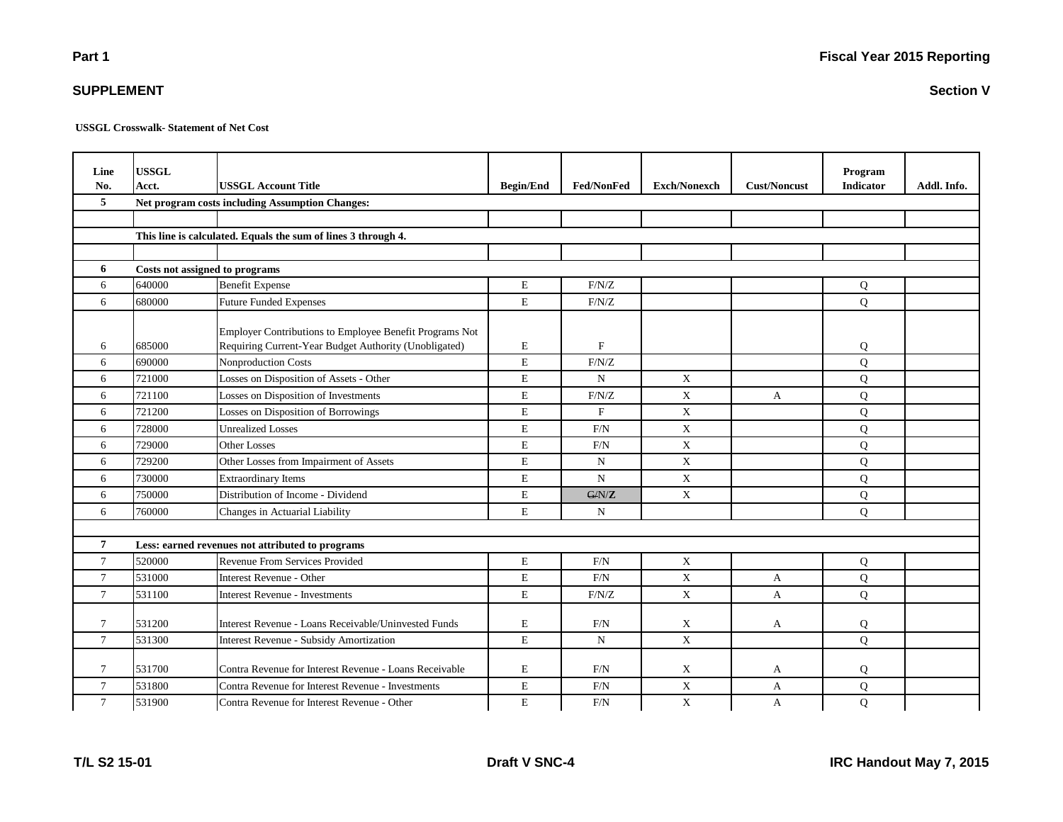**Section V**

**USSGL Crosswalk- Statement of Net Cost**

| Line<br>No.    | <b>USSGL</b><br>Acct.                           | <b>USSGL Account Title</b>                                    | <b>Begin/End</b> | <b>Fed/NonFed</b> | <b>Exch/Nonexch</b> | <b>Cust/Noncust</b> | Program<br><b>Indicator</b> | Addl. Info. |  |
|----------------|-------------------------------------------------|---------------------------------------------------------------|------------------|-------------------|---------------------|---------------------|-----------------------------|-------------|--|
| 5              | Net program costs including Assumption Changes: |                                                               |                  |                   |                     |                     |                             |             |  |
|                |                                                 |                                                               |                  |                   |                     |                     |                             |             |  |
|                |                                                 | This line is calculated. Equals the sum of lines 3 through 4. |                  |                   |                     |                     |                             |             |  |
|                |                                                 |                                                               |                  |                   |                     |                     |                             |             |  |
| 6              | Costs not assigned to programs                  |                                                               |                  |                   |                     |                     |                             |             |  |
| 6              | 640000                                          | <b>Benefit Expense</b>                                        | E                | F/N/Z             |                     |                     | Q                           |             |  |
| 6              | 680000                                          | <b>Future Funded Expenses</b>                                 | $\mathbf E$      | F/N/Z             |                     |                     | Q                           |             |  |
|                |                                                 | Employer Contributions to Employee Benefit Programs Not       |                  |                   |                     |                     |                             |             |  |
| 6              | 685000                                          | Requiring Current-Year Budget Authority (Unobligated)         | E                | F                 |                     |                     | Q                           |             |  |
| 6              | 690000                                          | <b>Nonproduction Costs</b>                                    | $\mathbf E$      | F/N/Z             |                     |                     | Q                           |             |  |
| 6              | 721000                                          | Losses on Disposition of Assets - Other                       | $\mathbf E$      | $\mathbf N$       | X                   |                     | Q                           |             |  |
| 6              | 721100                                          | Losses on Disposition of Investments                          | E                | F/N/Z             | $\mathbf X$         | A                   | Q                           |             |  |
| 6              | 721200                                          | Losses on Disposition of Borrowings                           | E                | F                 | $\mathbf X$         |                     | Q                           |             |  |
| 6              | 728000                                          | <b>Unrealized Losses</b>                                      | $\mathbf E$      | $\mbox{F/N}$      | X                   |                     | Q                           |             |  |
| 6              | 729000                                          | <b>Other Losses</b>                                           | $\mathbf E$      | F/N               | X                   |                     | Q                           |             |  |
| 6              | 729200                                          | Other Losses from Impairment of Assets                        | E                | $\mathbf N$       | X                   |                     | Q                           |             |  |
| 6              | 730000                                          | <b>Extraordinary Items</b>                                    | E                | $\mathbf N$       | $\mathbf X$         |                     | $\overline{Q}$              |             |  |
| 6              | 750000                                          | Distribution of Income - Dividend                             | E                | G/N/Z             | X                   |                     | Q                           |             |  |
| 6              | 760000                                          | Changes in Actuarial Liability                                | $\mathbf E$      | N                 |                     |                     | $\overline{Q}$              |             |  |
|                |                                                 |                                                               |                  |                   |                     |                     |                             |             |  |
| $\overline{7}$ |                                                 | Less: earned revenues not attributed to programs              |                  |                   |                     |                     |                             |             |  |
| $\overline{7}$ | 520000                                          | Revenue From Services Provided                                | $\mathbf E$      | F/N               | $\mathbf X$         |                     | Q                           |             |  |
| $\overline{7}$ | 531000                                          | Interest Revenue - Other                                      | $\mathbf E$      | $\mbox{F/N}$      | $\mathbf X$         | A                   | Q                           |             |  |
| $\tau$         | 531100                                          | <b>Interest Revenue - Investments</b>                         | $\mathbf E$      | $\rm F/N/Z$       | $\mathbf X$         | A                   | Q                           |             |  |
| $\tau$         | 531200                                          | Interest Revenue - Loans Receivable/Uninvested Funds          | $\mathbf E$      | F/N               | X                   | A                   | Q                           |             |  |
| $\tau$         | 531300                                          | <b>Interest Revenue - Subsidy Amortization</b>                | E                | ${\bf N}$         | $\mathbf X$         |                     | Q                           |             |  |
| $\tau$         | 531700                                          | Contra Revenue for Interest Revenue - Loans Receivable        | E                | F/N               | $\mathbf X$         | A                   | Q                           |             |  |
| $\tau$         | 531800                                          | Contra Revenue for Interest Revenue - Investments             | $\mathbf E$      | $\mbox{F/N}$      | $\mathbf X$         | A                   | Q                           |             |  |
| $\tau$         | 531900                                          | Contra Revenue for Interest Revenue - Other                   | E                | F/N               | $\mathbf X$         | A                   | Q                           |             |  |

**SUPPLEMENT**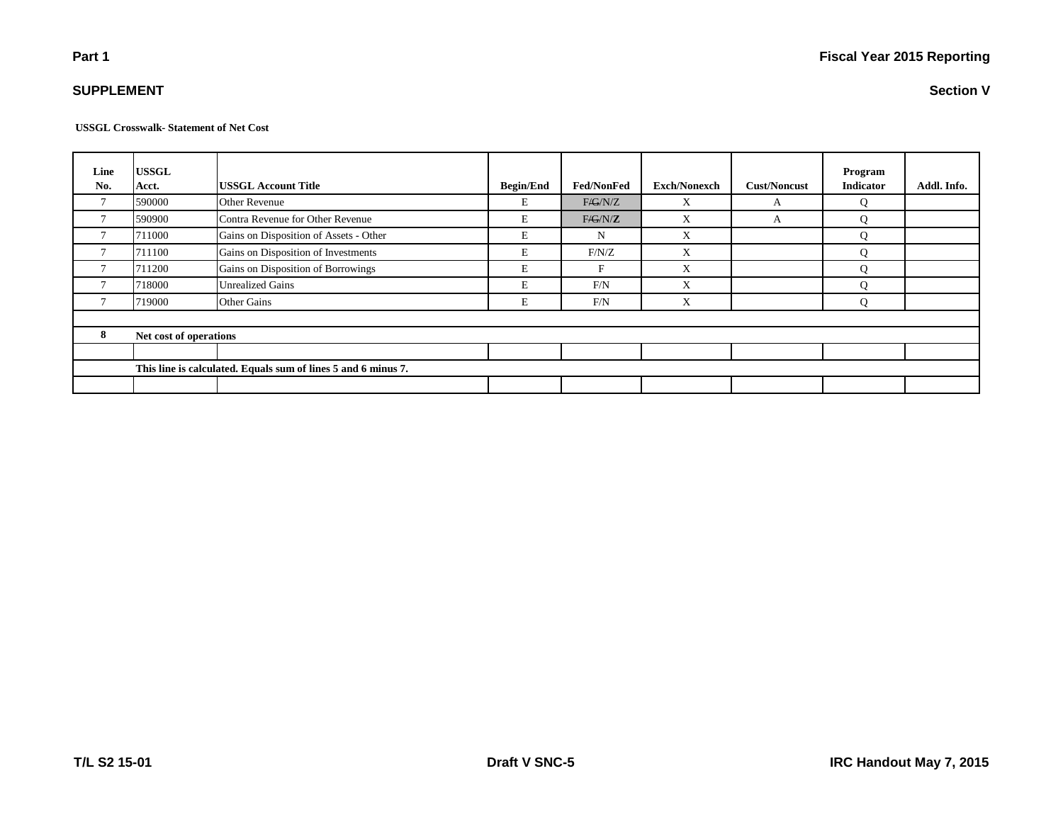**USSGL Crosswalk- Statement of Net Cost**

| Line<br>No.    | <b>USSGL</b><br>Acct.                                         | <b>USSGL Account Title</b>             | <b>Begin/End</b> | <b>Fed/NonFed</b> | <b>Exch/Nonexch</b> | <b>Cust/Noncust</b> | Program<br><b>Indicator</b> | Addl. Info. |  |
|----------------|---------------------------------------------------------------|----------------------------------------|------------------|-------------------|---------------------|---------------------|-----------------------------|-------------|--|
| $\mathbf{r}$   | 590000                                                        | Other Revenue                          | E                | F/G/N/Z           | X                   | A                   | Q                           |             |  |
| 7              | 590900                                                        | Contra Revenue for Other Revenue       | E                | F/G/N/Z           | X                   | A                   | Q                           |             |  |
| $\mathcal{I}$  | 711000                                                        | Gains on Disposition of Assets - Other | E                | N                 | X                   |                     | Q                           |             |  |
| $\overline{ }$ | 711100                                                        | Gains on Disposition of Investments    | E                | F/N/Z             | X                   |                     | Q                           |             |  |
| $\mathbf{r}$   | 711200                                                        | Gains on Disposition of Borrowings     | E                | F                 | X                   |                     | О                           |             |  |
|                | 718000                                                        | <b>Unrealized Gains</b>                | E                | F/N               | X                   |                     | Ő                           |             |  |
| $\mathbf{r}$   | 719000                                                        | <b>Other Gains</b>                     | E                | F/N               | X                   |                     | Q                           |             |  |
|                |                                                               |                                        |                  |                   |                     |                     |                             |             |  |
| 8              | Net cost of operations                                        |                                        |                  |                   |                     |                     |                             |             |  |
|                |                                                               |                                        |                  |                   |                     |                     |                             |             |  |
|                | This line is calculated. Equals sum of lines 5 and 6 minus 7. |                                        |                  |                   |                     |                     |                             |             |  |
|                |                                                               |                                        |                  |                   |                     |                     |                             |             |  |

**SUPPLEMENT**